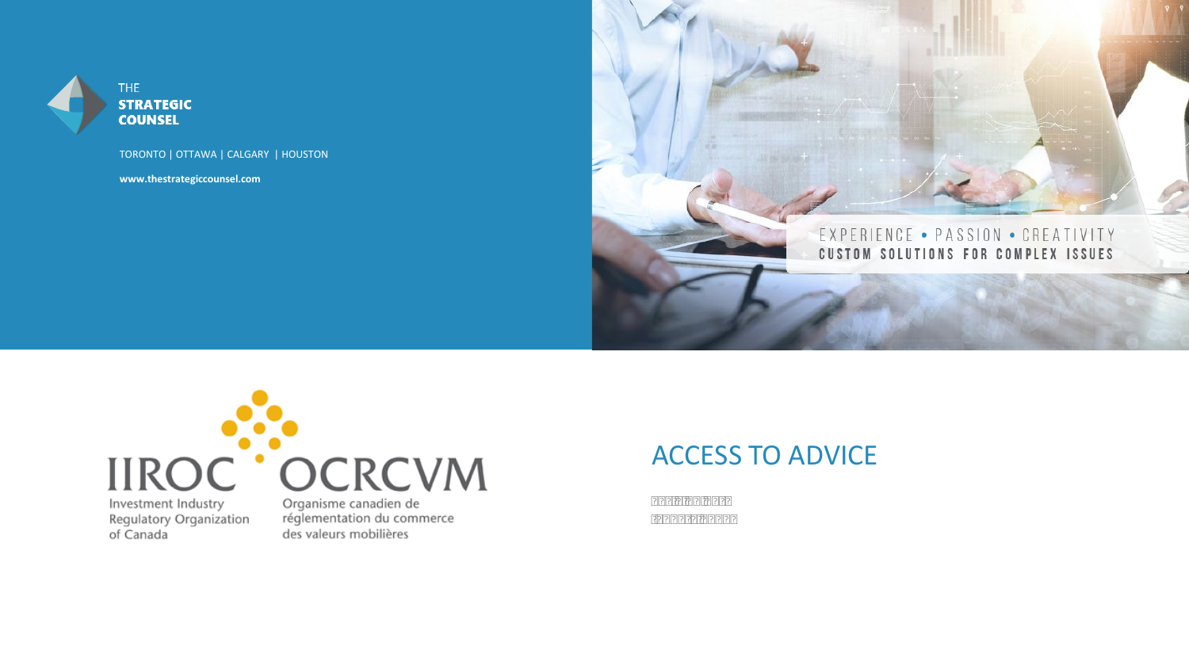

THE **STRATEGIC COUNSEL** 

TORONTO | OTTAWA | CALGARY | HOUSTON

**[www.thestrategiccounsel.com](http://www.thestrategiccounsel.com)** 





Regulatory Organization of Canada

Organisme canadien de réglementation du commerce des valeurs mobilières

#### ACCESS TO ADVICE

Key Findings January 2020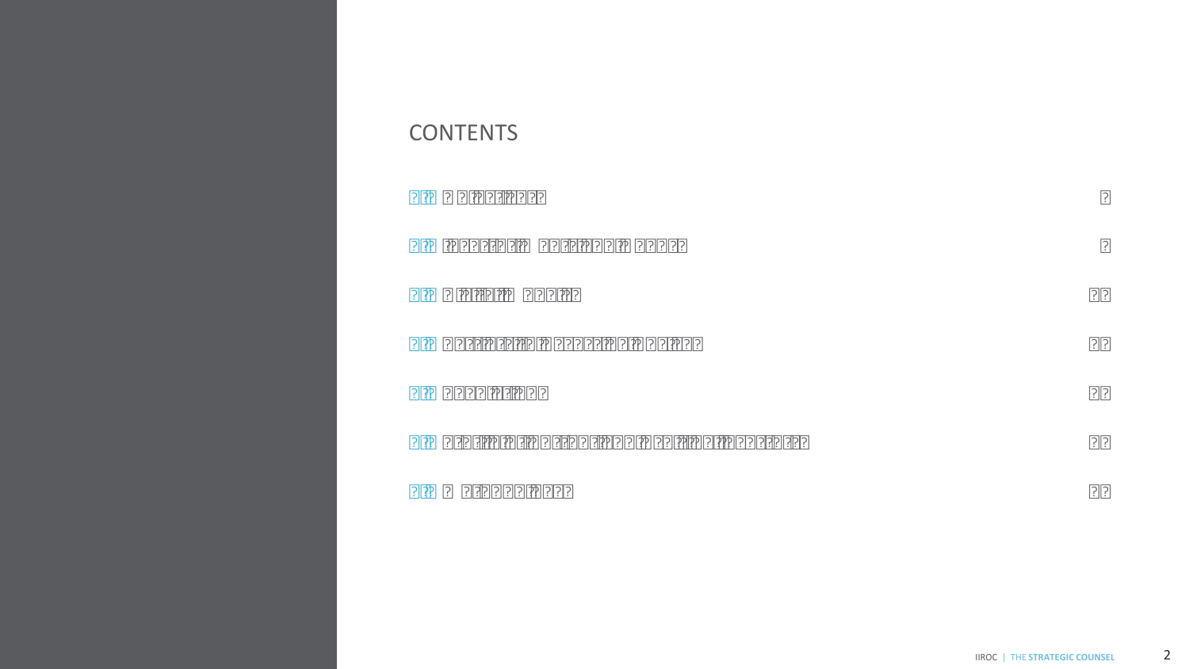#### **CONTENTS**

|    | 1. Objectives                                | 3  |
|----|----------------------------------------------|----|
| 2. | Investor Wants and Needs                     | 5  |
| 3. | Digital Models                               | 15 |
|    | 4. Barriers to Accessing Advice              | 21 |
| 5. | Regulation                                   | 24 |
|    | 6. Profile of Current and Aspiring Investors | 26 |
| 7. | Methodology                                  | 28 |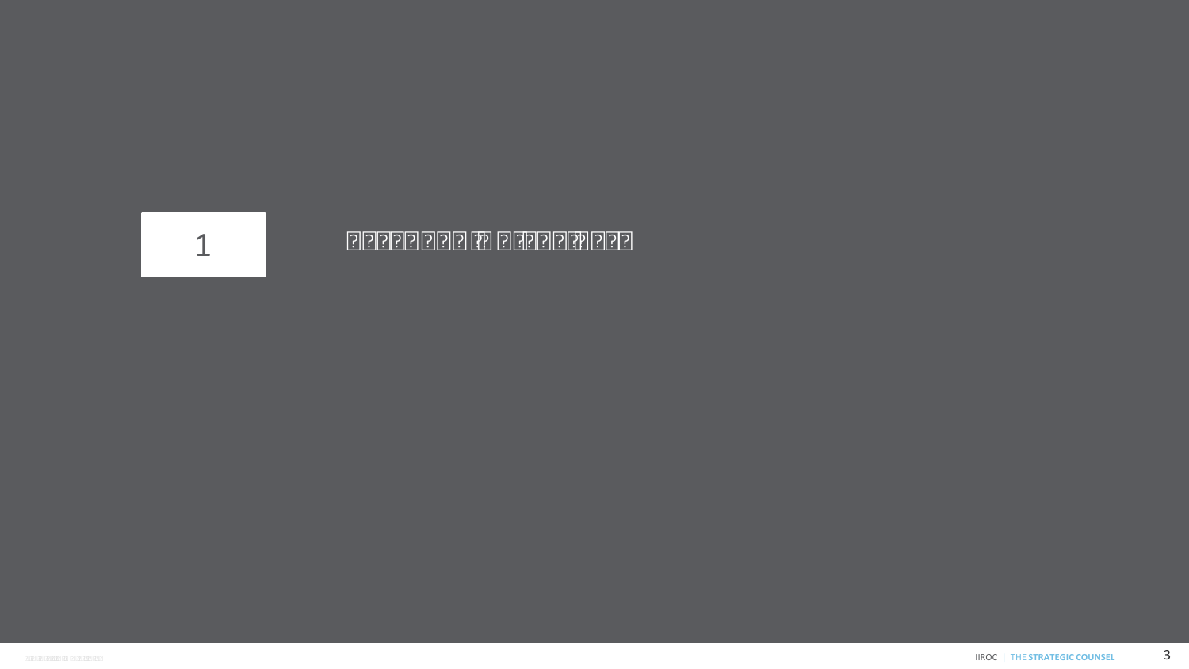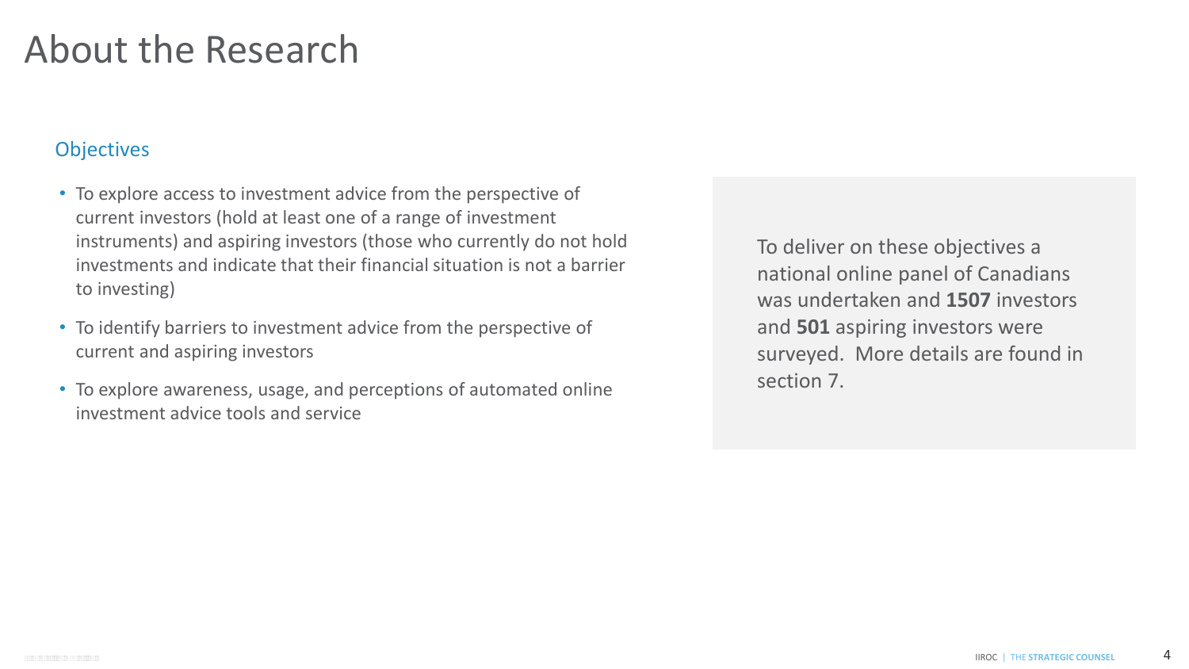#### About the Research

#### **Objectives**

- To explore access to investment advice from the perspective of current investors (hold at least one of a range of investment instruments) and aspiring investors (those who currently do not hold investments and indicate that their financial situation is not a barrier to investing)
- To identify barriers to investment advice from the perspective of current and aspiring investors
- To explore awareness, usage, and perceptions of automated online investment advice tools and service

 national online panel of Canadians was undertaken and **1507** investors surveyed. More details are found in To deliver on these objectives a and **501** aspiring investors were section 7.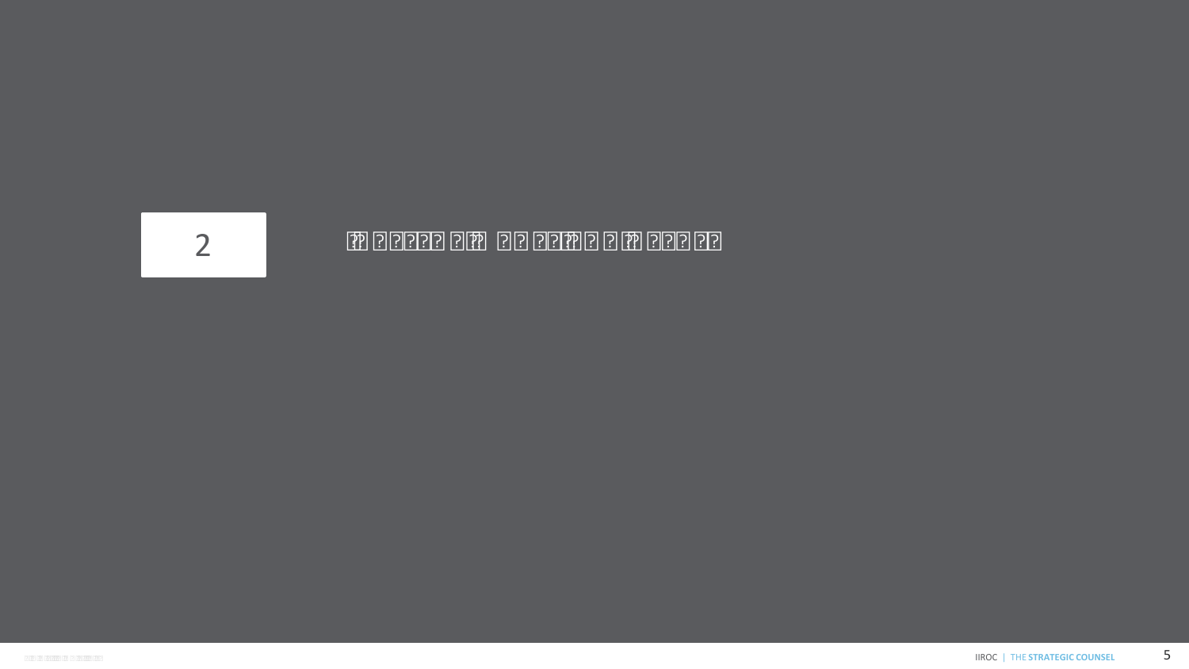# 2 INVESTOR WANTS AND NEEDS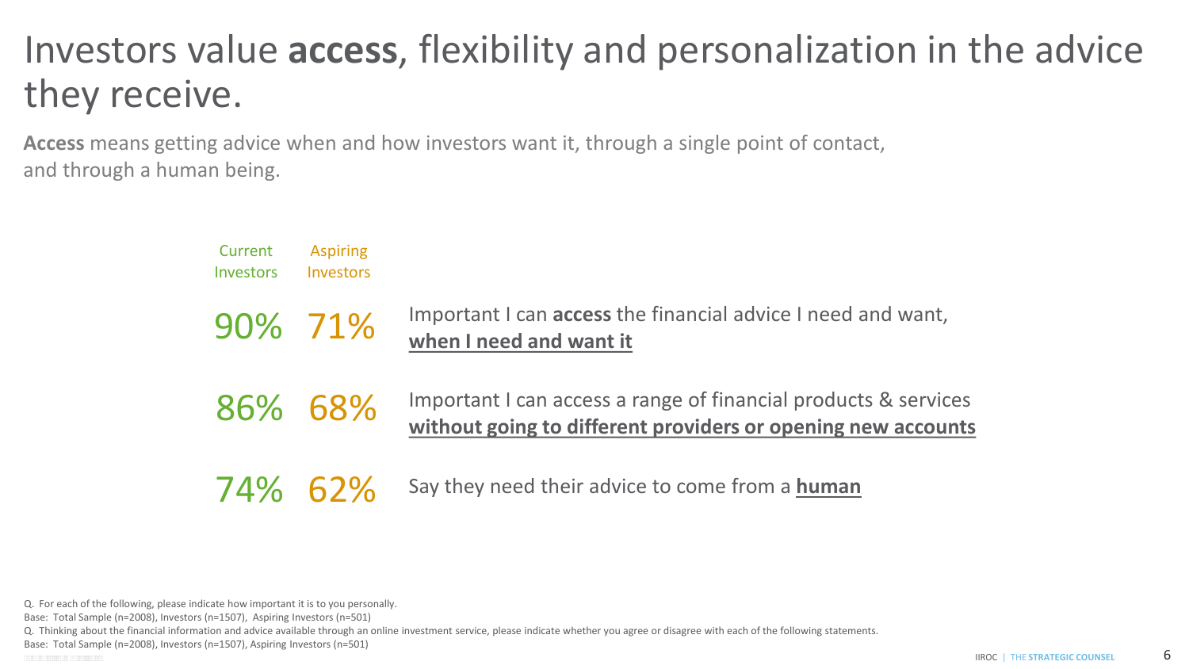# Investors value **access**, flexibility and personalization in the advice they receive.

 **Access** means getting advice when and how investors want it, through a single point of contact, and through a human being.

| Current<br><b>Investors</b> | <b>Aspiring</b><br>Investors |                                                                                                                                 |
|-----------------------------|------------------------------|---------------------------------------------------------------------------------------------------------------------------------|
|                             | 90% 71%                      | Important I can <b>access</b> the financial advice I need and want,<br>when I need and want it                                  |
|                             | 86% 68%                      | Important I can access a range of financial products & services<br>without going to different providers or opening new accounts |
|                             | 74% 62%                      | Say they need their advice to come from a human                                                                                 |

Q. For each of the following, please indicate how important it is to you personally.

Base: Total Sample (n=2008), Investors (n=1507), Aspiring Investors (n=501)

Q. Thinking about the financial information and advice available through an online investment service, please indicate whether you agree or disagree with each of the following statements.

Base: Total Sample (n=2008), Investors (n=1507), Aspiring Investors (n=501)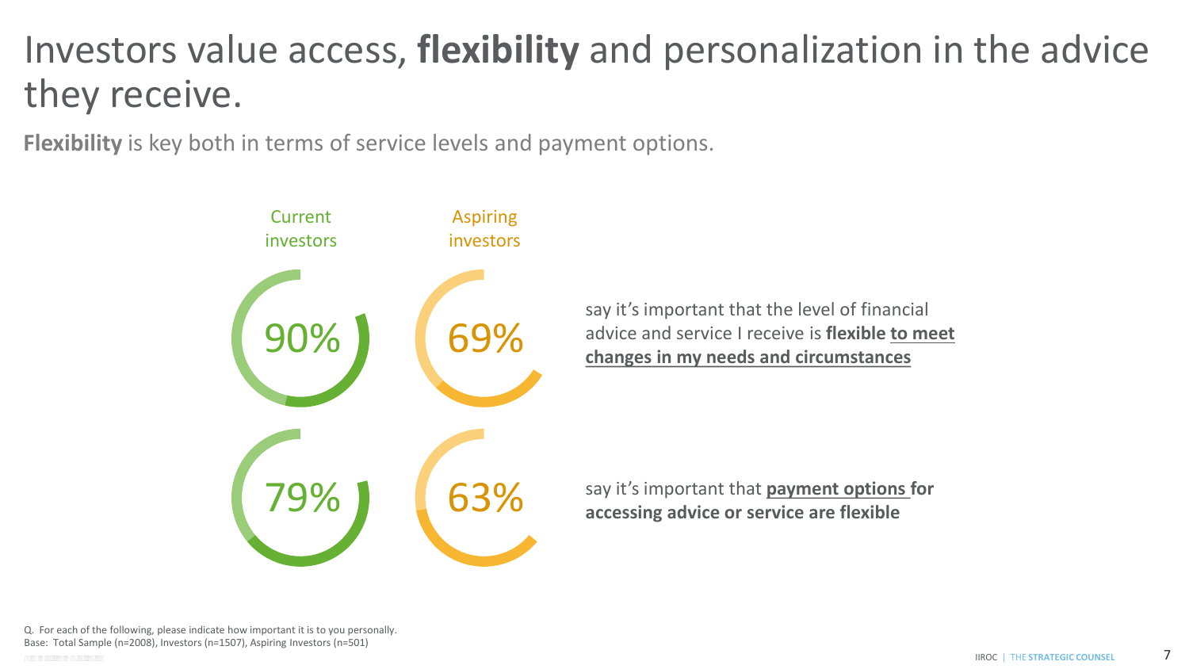# Investors value access, **flexibility** and personalization in the advice they receive.

**Flexibility** is key both in terms of service levels and payment options.

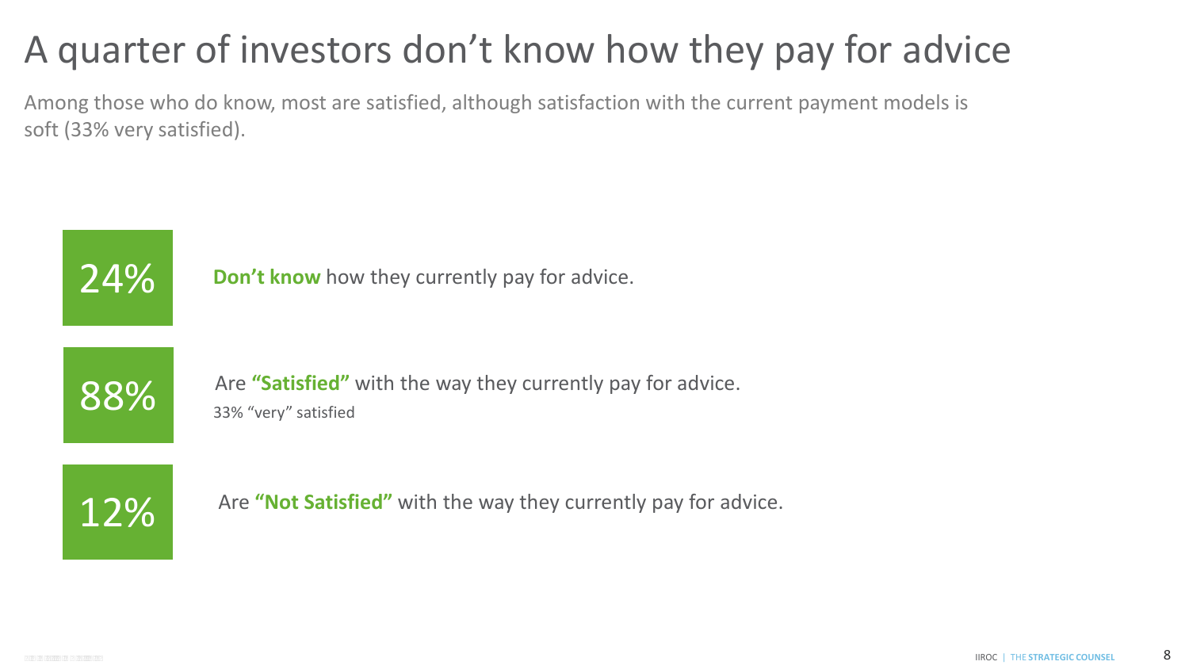# A quarter of investors don't know how they pay for advice

 Among those who do know, most are satisfied, although satisfaction with the current payment models is soft (33% very satisfied).



24% **Don't know** how they currently pay for advice.



88% Are "Satisfied" with the way they currently pay for advice. 33% "very" satisfied

12% Are "Not Satisfied" with the way they currently pay for advice.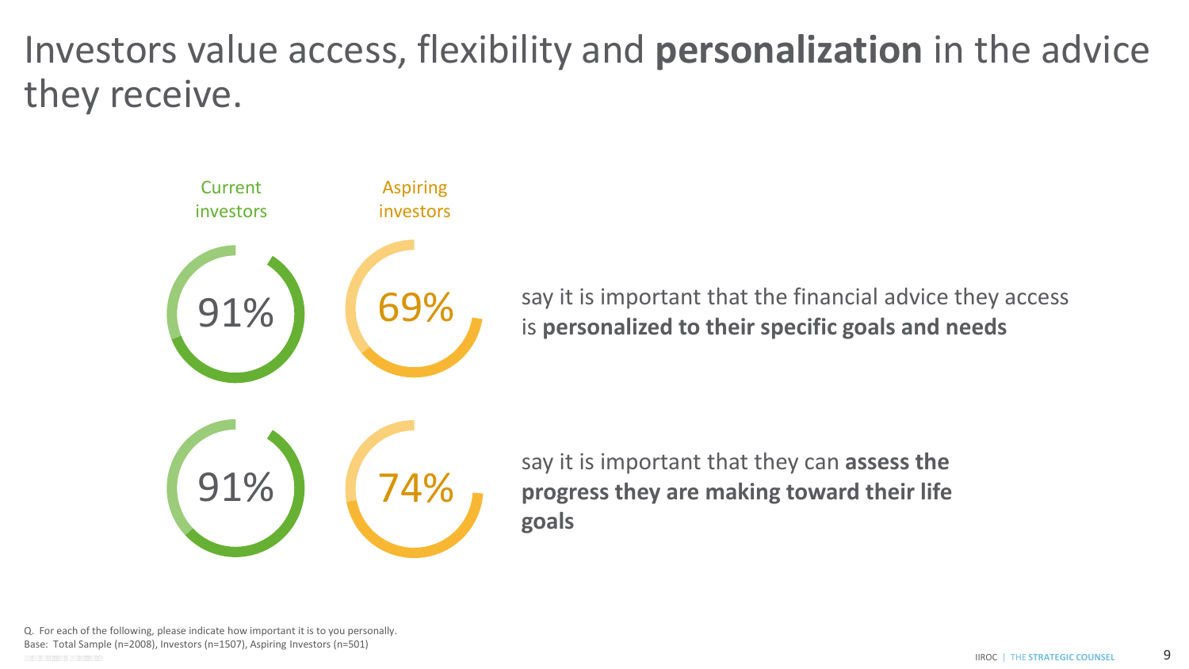### Investors value access, flexibility and **personalization** in the advice they receive.

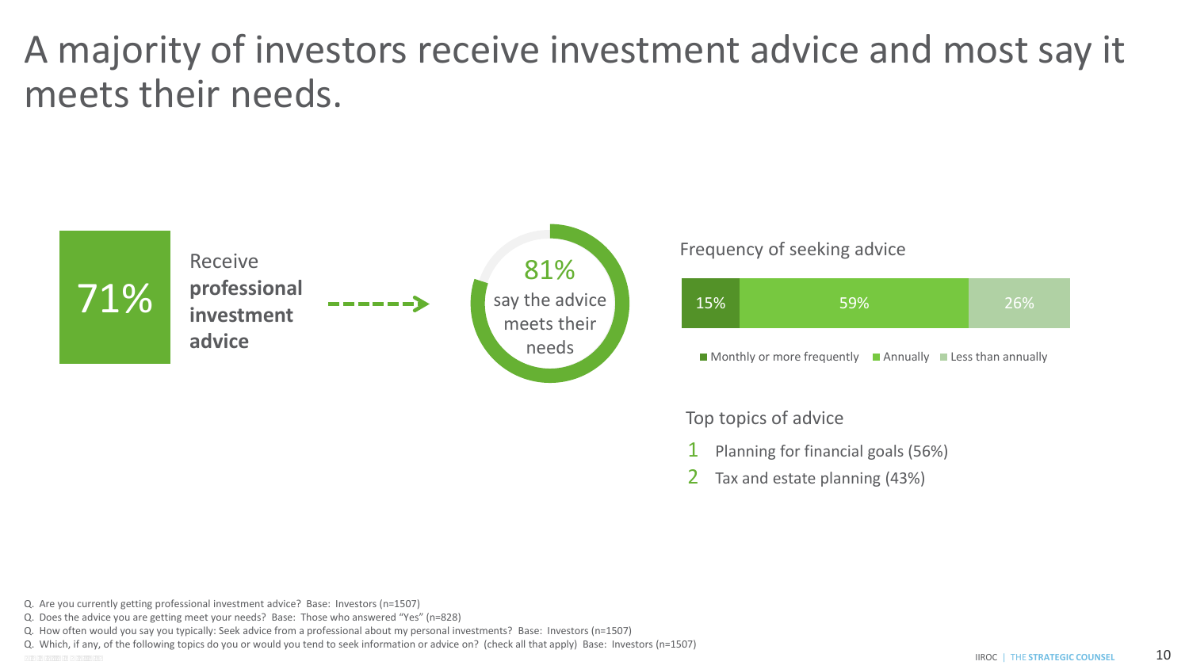# A majority of investors receive investment advice and most say it



#### Frequency of seeking advice

| 15% | 59%                                                                                                 |  | 26% |  |
|-----|-----------------------------------------------------------------------------------------------------|--|-----|--|
|     | $\blacksquare$ Monthly or more frequently $\blacksquare$ Annually $\blacksquare$ Less than annually |  |     |  |

#### Top topics of advice

- **1** Planning for financial goals (56%)
- 2 Tax and estate planning (43%)

Q. Are you currently getting professional investment advice? Base: Investors (n=1507)

Q. Does the advice you are getting meet your needs? Base: Those who answered "Yes" (n=828)

Q. How often would you say you typically: Seek advice from a professional about my personal investments? Base: Investors (n=1507)

Q. Which, if any, of the following topics do you or would you tend to seek information or advice on? (check all that apply) Base: Investors (n=1507)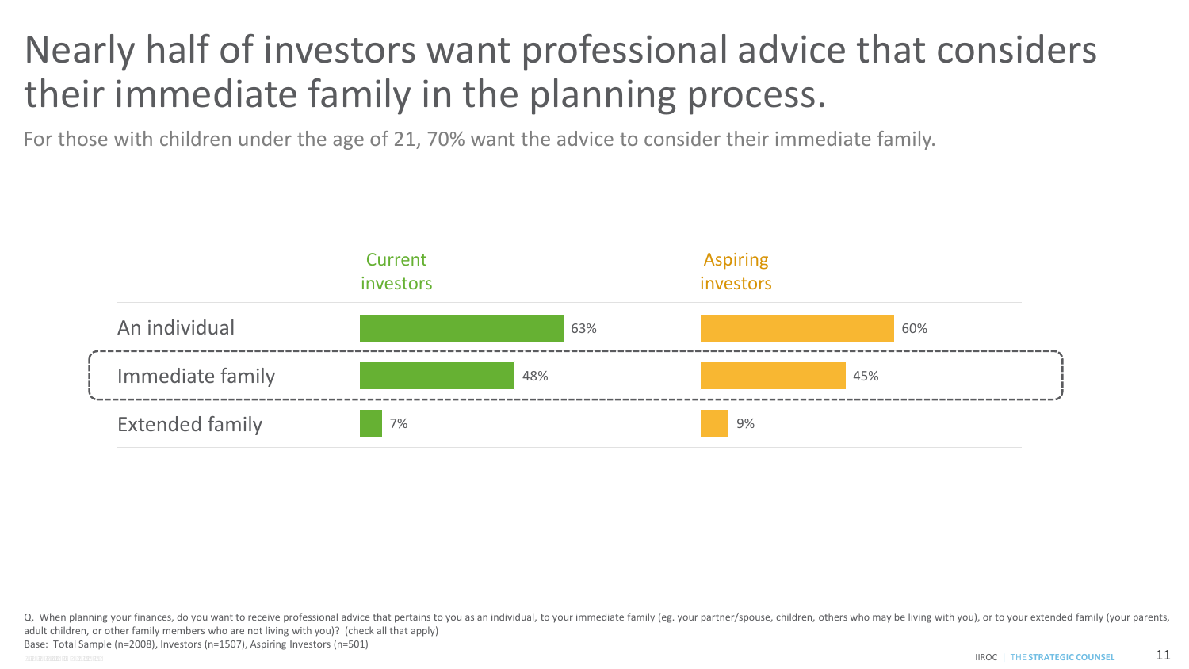## Nearly half of investors want professional advice that considers their immediate family in the planning process.

For those with children under the age of 21, 70% want the advice to consider their immediate family.



**IIROC** | THE STRATEGIC COUNSEL Q. When planning your finances, do you want to receive professional advice that pertains to you as an individual, to your immediate family (eg. your partner/spouse, children, others who may be living with you), or to your adult children, or other family members who are not living with you)? (check all that apply) Base: Total Sample (n=2008), Investors (n=1507), Aspiring Investors (n=501) CONFIDENTIAL **CONSEL 21 INDIA LATEGIC COUNSEL 21**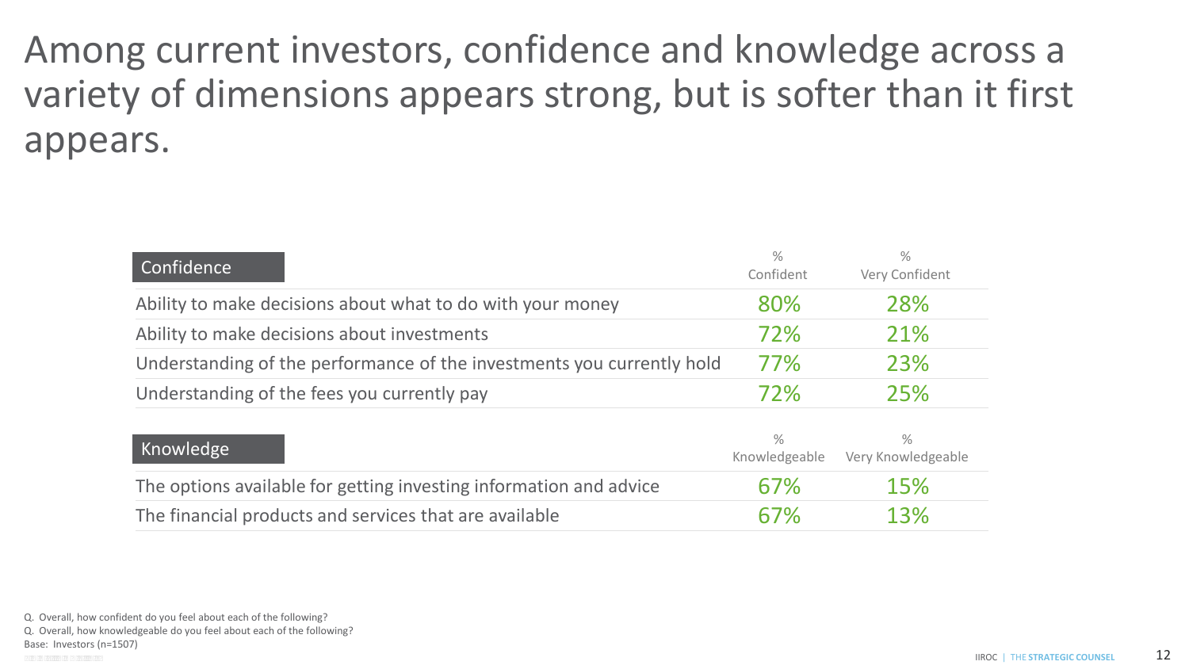variety of dimensions appears strong, but is softer than it first Among current investors, confidence and knowledge across a appears.

| Confidence                                                             | $\%$<br>Confident              | $\%$<br>Very Confident              |
|------------------------------------------------------------------------|--------------------------------|-------------------------------------|
| Ability to make decisions about what to do with your money             | 80%                            | 28%                                 |
| Ability to make decisions about investments                            | 72%                            | 21%                                 |
| Understanding of the performance of the investments you currently hold | 77%                            | 23%                                 |
| Understanding of the fees you currently pay                            | 72%                            | 25%                                 |
| Knowledge                                                              | $\frac{0}{0}$<br>Knowledgeable | $\frac{0}{2}$<br>Very Knowledgeable |
| The options available for getting investing information and advice     | 67%                            | 15%                                 |
| The financial products and services that are available                 | 67%                            | 13%                                 |

Q. Overall, how confident do you feel about each of the following?

Q. Overall, how knowledgeable do you feel about each of the following?

Base: Investors (n=1507)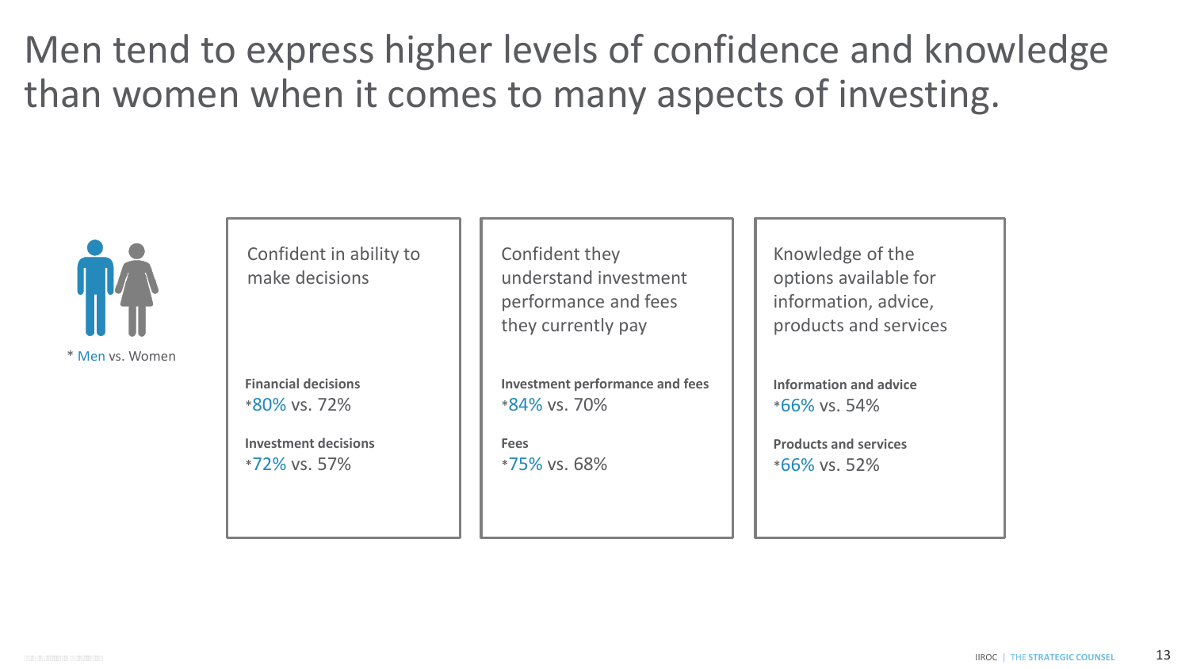Men tend to express higher levels of confidence and knowledge than women when it comes to many aspects of investing.



Confident in ability to make decisions

**Financial decisions**  \*80% vs. 72%

**Investment decisions**  \*72% vs. 57%

Confident they understand investment performance and fees they currently pay

**Investment performance and fees**  \*84% vs. 70%

**Fees**  \*75% vs. 68% Knowledge of the options available for information, advice, products and services

**Information and advice**  \*66% vs. 54%

**Products and services**  \*66% vs. 52%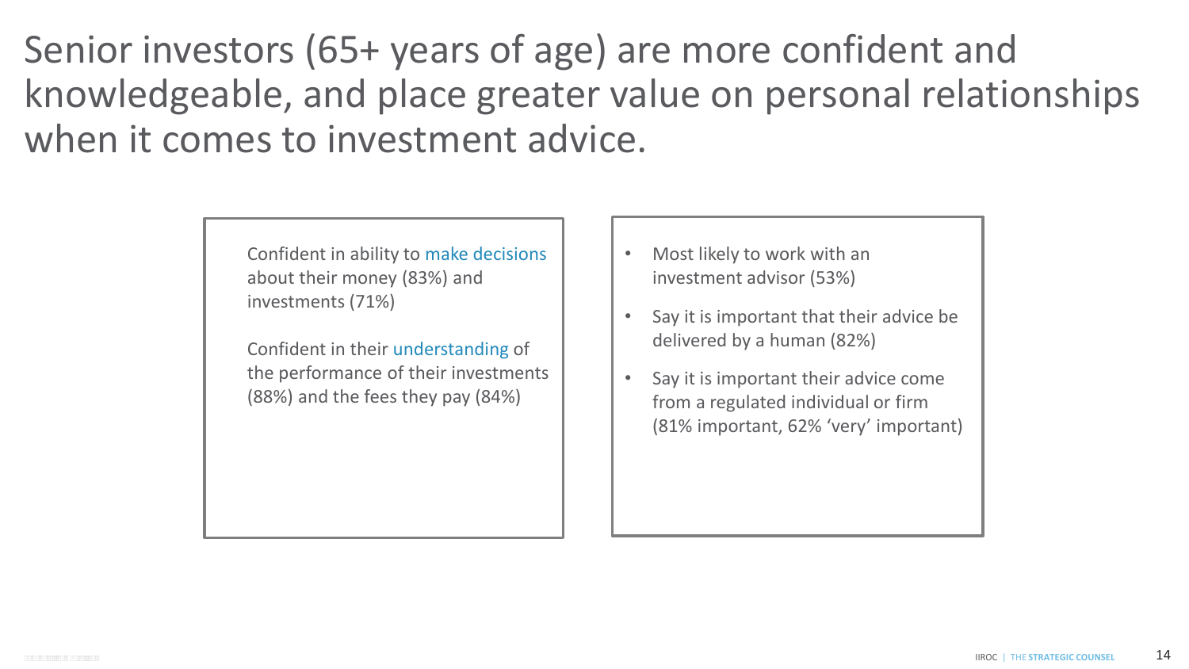Senior investors (65+ years of age) are more confident and knowledgeable, and place greater value on personal relationships when it comes to investment advice.

> Confident in ability to make decisions about their money (83%) and investments (71%)

Confident in their understanding of the performance of their investments (88%) and the fees they pay (84%)

- Most likely to work with an investment advisor (53%)
- Say it is important that their advice be delivered by a human (82%)
- Say it is important their advice come from a regulated individual or firm (81% important, 62% 'very' important)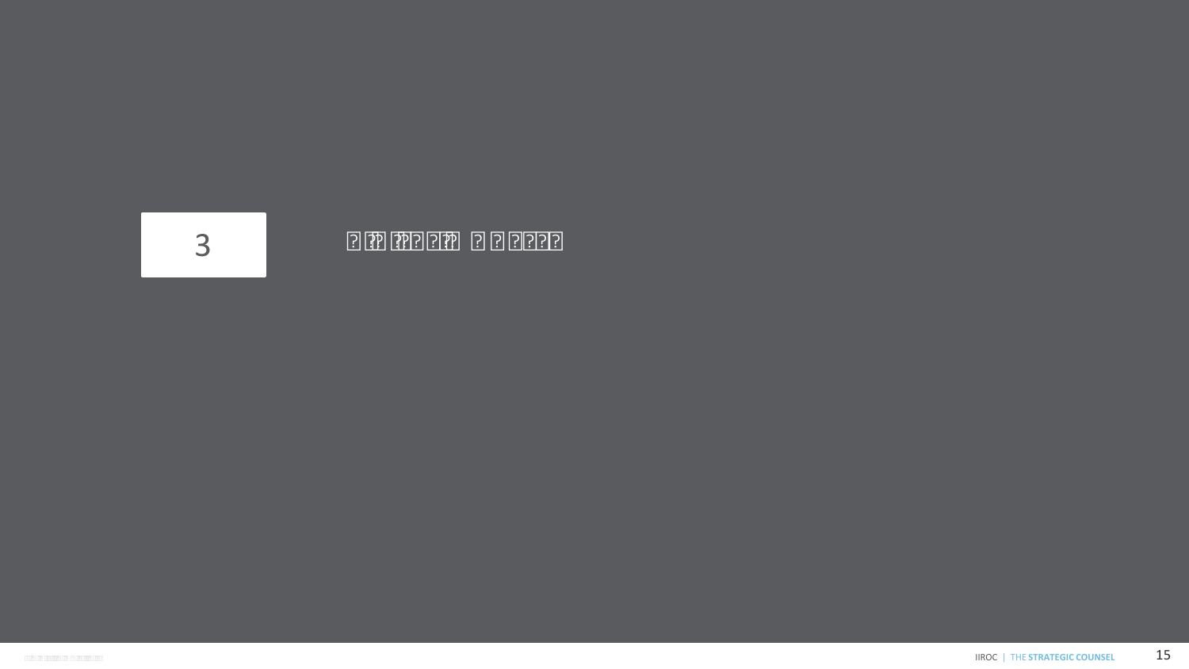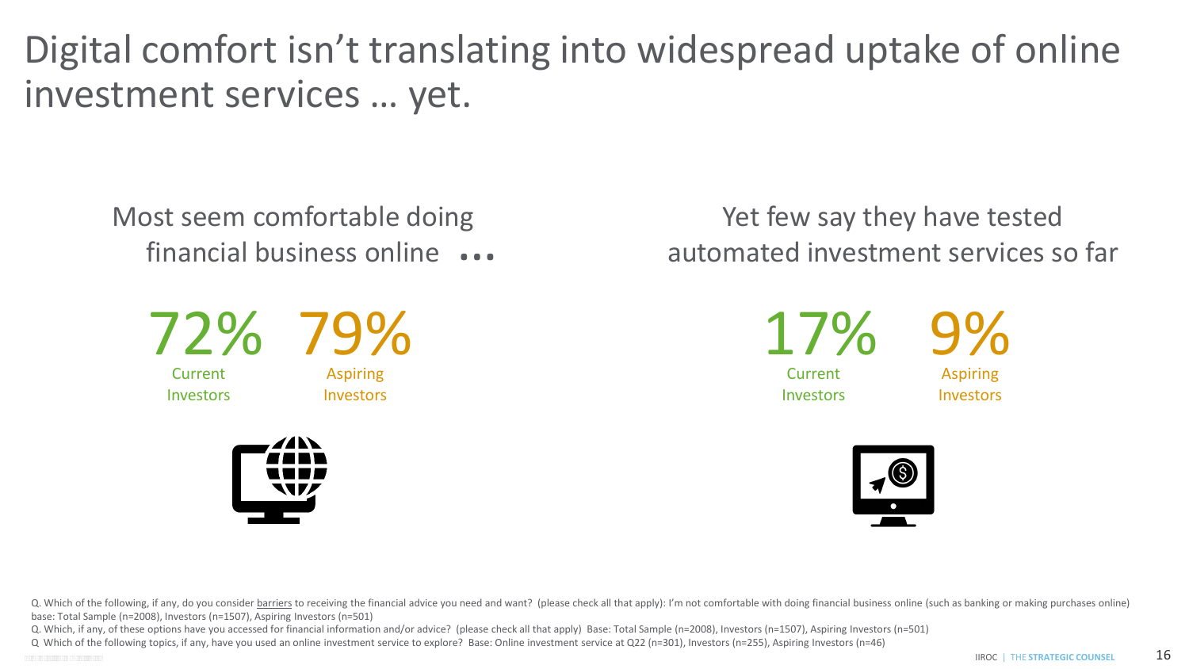Digital comfort isn't translating into widespread uptake of online investment services … yet.

Most seem comfortable doing financial business online …



Current **Investors** 

Aspiring Investors



Yet few say they have tested automated investment services so far

> 17% Current **Investors**

9% Aspiring

Investors

Q. Which of the following, if any, do you consider barriers to receiving the financial advice you need and want? (please check all that apply): I'm not comfortable with doing financial business online (such as banking or m base: Total Sample (n=2008), Investors (n=1507), Aspiring Investors (n=501)

Q. Which, if any, of these options have you accessed for financial information and/or advice? (please check all that apply) Base: Total Sample (n=2008), Investors (n=1507), Aspiring Investors (n=501)

 Q Which of the following topics, if any, have you used an online investment service to explore? Base: Online investment service at Q22 (n=301), Investors (n=255), Aspiring Investors (n=46) C O N F I D E N T I A L IIROC | THE **STRATEGIC COUNSEL** 16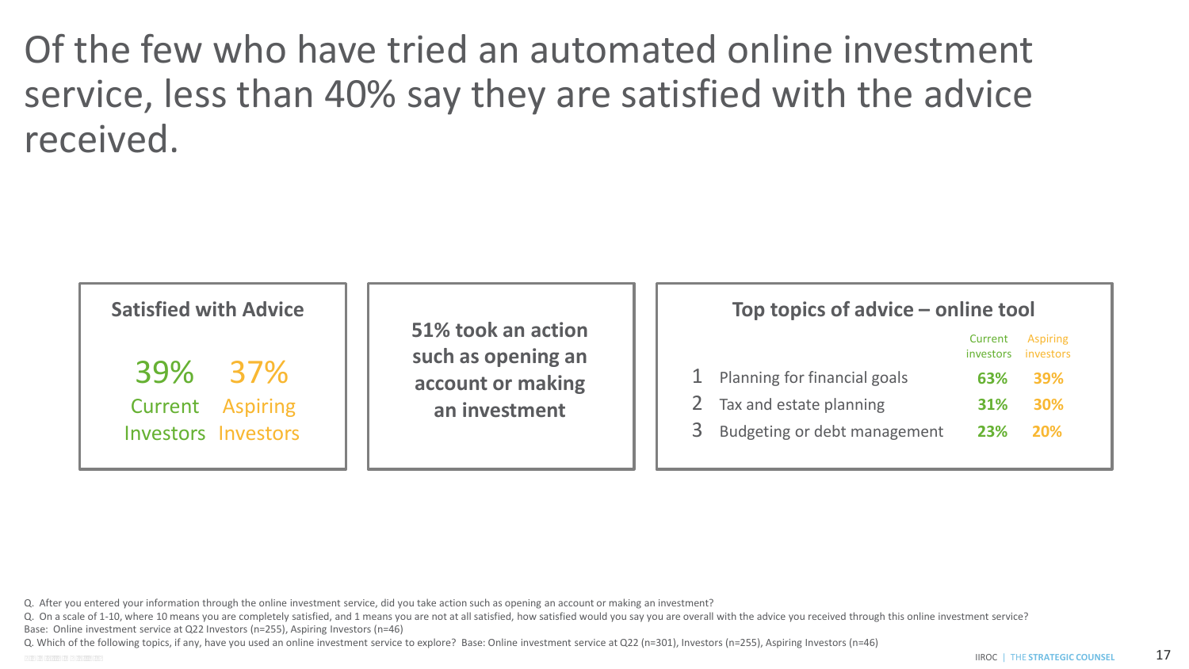Of the few who have tried an automated online investment service, less than 40% say they are satisfied with the advice received.

| <b>Satisfied with Advice</b> |                                          | Top topics of advice – online tool         |
|------------------------------|------------------------------------------|--------------------------------------------|
|                              | 51% took an action<br>such as opening an | Aspiring<br>Current<br>investors investors |
| 39% 37%                      | account or making                        | Planning for financial goals<br>39%<br>63% |
| Aspiring<br>Current          | an investment                            | Tax and estate planning<br>30%<br>31%      |
| <b>Investors Investors</b>   |                                          | Budgeting or debt management<br>20%<br>23% |

Q. After you entered your information through the online investment service, did you take action such as opening an account or making an investment?

Q. On a scale of 1-10, where 10 means you are completely satisfied, and 1 means you are not at all satisfied, how satisfied would you say you are overall with the advice you received through this online investment service?

Base: Online investment service at Q22 Investors (n=255), Aspiring Investors (n=46)

Q. Which of the following topics, if any, have you used an online investment service to explore? Base: Online investment service at Q22 (n=301), Investors (n=255), Aspiring Investors (n=46)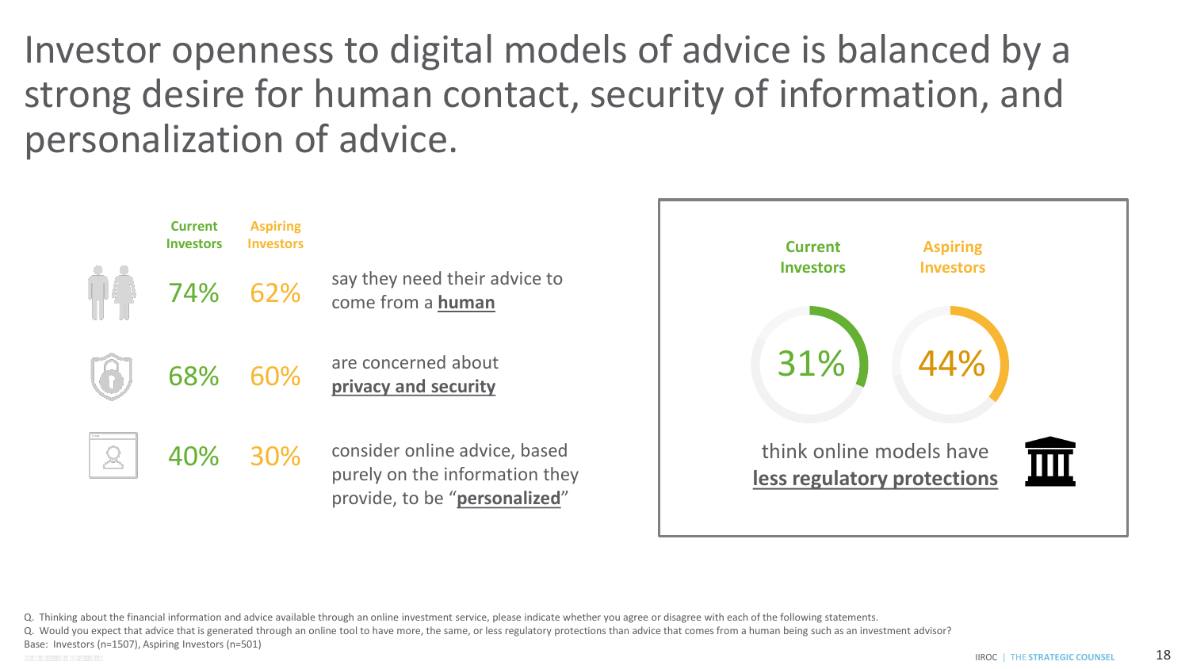Investor openness to digital models of advice is balanced by a strong desire for human contact, security of information, and personalization of advice.



Q. Thinking about the financial information and advice available through an online investment service, please indicate whether you agree or disagree with each of the following statements.

Q. Would you expect that advice that is generated through an online tool to have more, the same, or less regulatory protections than advice that comes from a human being such as an investment advisor?

Base: Investors (n=1507), Aspiring Investors (n=501)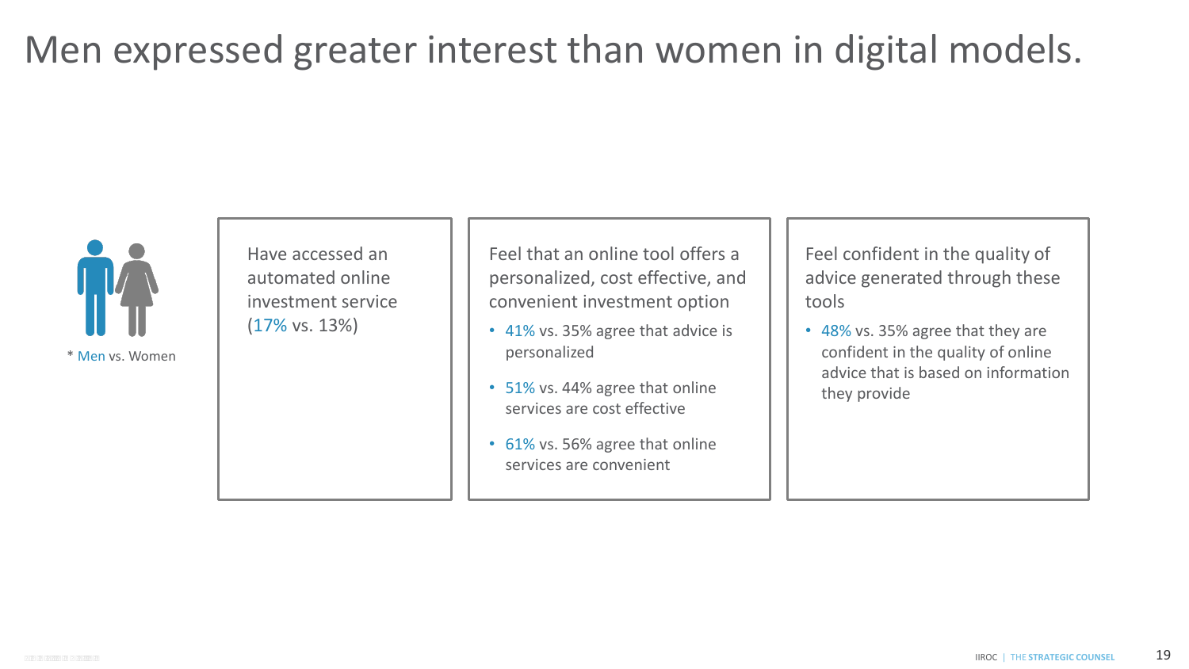### Men expressed greater interest than women in digital models.



\* Men vs. Women

Have accessed an automated online investment service (17% vs. 13%)

 Feel that an online tool offers a personalized, cost effective, and convenient investment option

- 41% vs. 35% agree that advice is personalized
- 51% vs. 44% agree that online services are cost effective
- 61% vs. 56% agree that online services are convenient

 Feel confident in the quality of advice generated through these tools

 • 48% vs. 35% agree that they are confident in the quality of online advice that is based on information they provide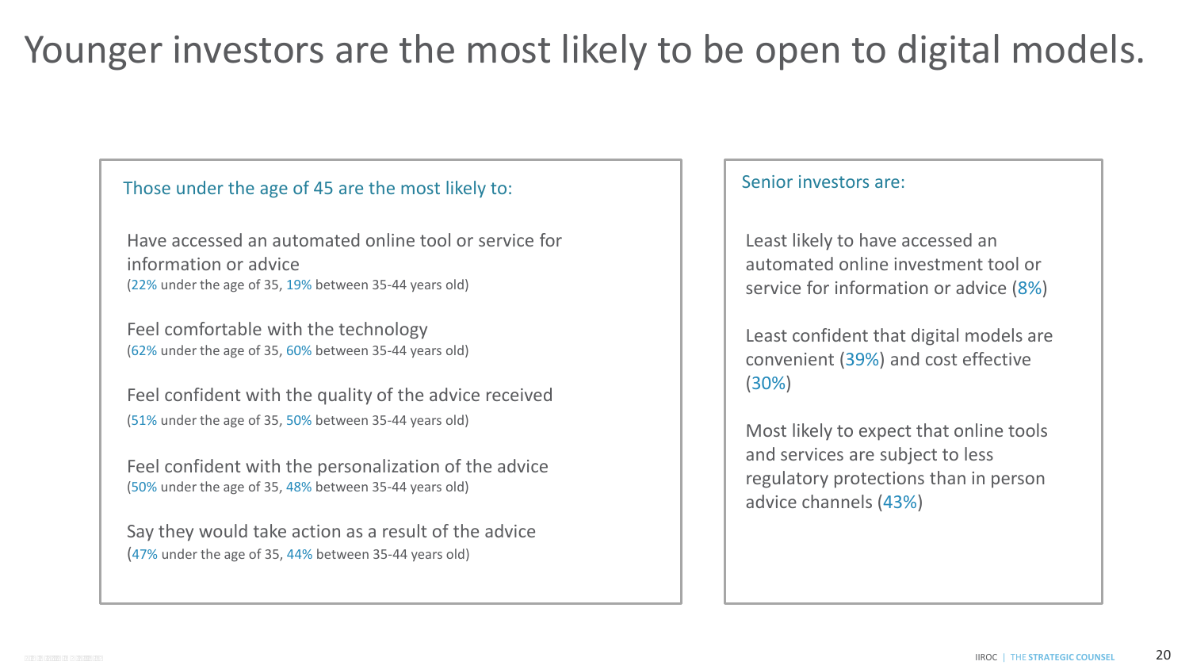# Younger investors are the most likely to be open to digital models.

#### Those under the age of 45 are the most likely to:

 Have accessed an automated online tool or service for information or advice (22% under the age of 35, 19% between 35-44 years old)

Feel comfortable with the technology (62% under the age of 35, 60% between 35-44 years old)

 Feel confident with the quality of the advice received (51% under the age of 35, 50% between 35-44 years old)

Feel confident with the personalization of the advice (50% under the age of 35, 48% between 35-44 years old)

 Say they would take action as a result of the advice (47% under the age of 35, 44% between 35-44 years old)

#### Senior investors are:

 Least likely to have accessed an automated online investment tool or service for information or advice (8%)

 Least confident that digital models are convenient (39%) and cost effective (30%)

 Most likely to expect that online tools and services are subject to less regulatory protections than in person advice channels (43%)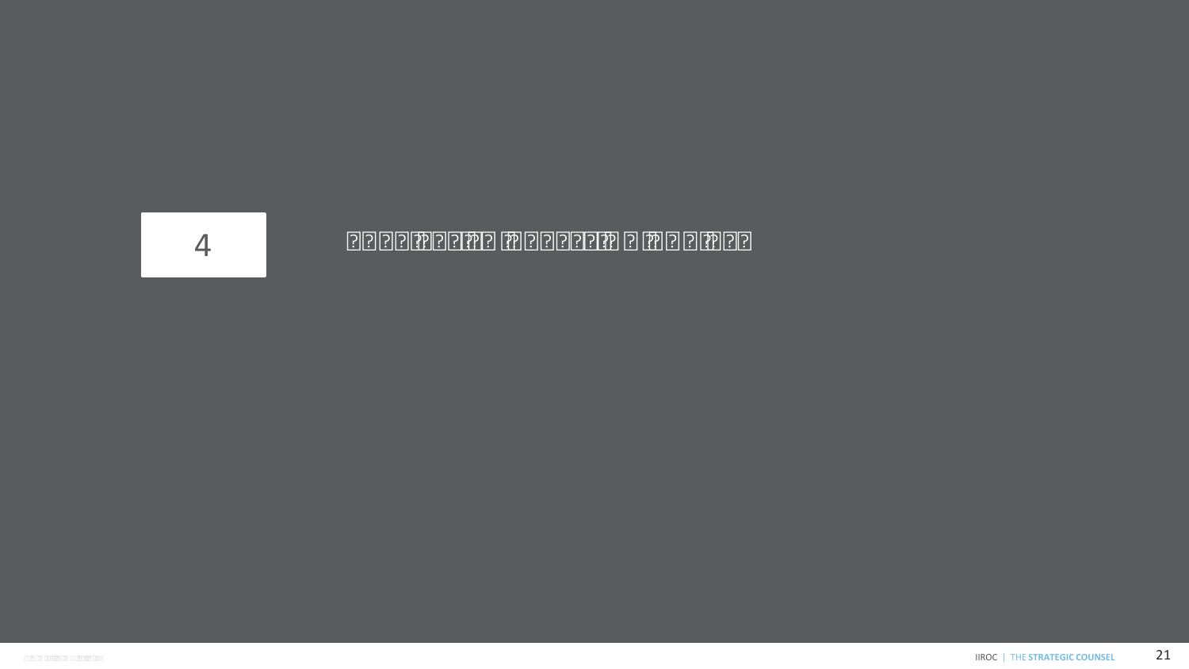

#### 4 BARRIERS TO ACCESSING ADVICE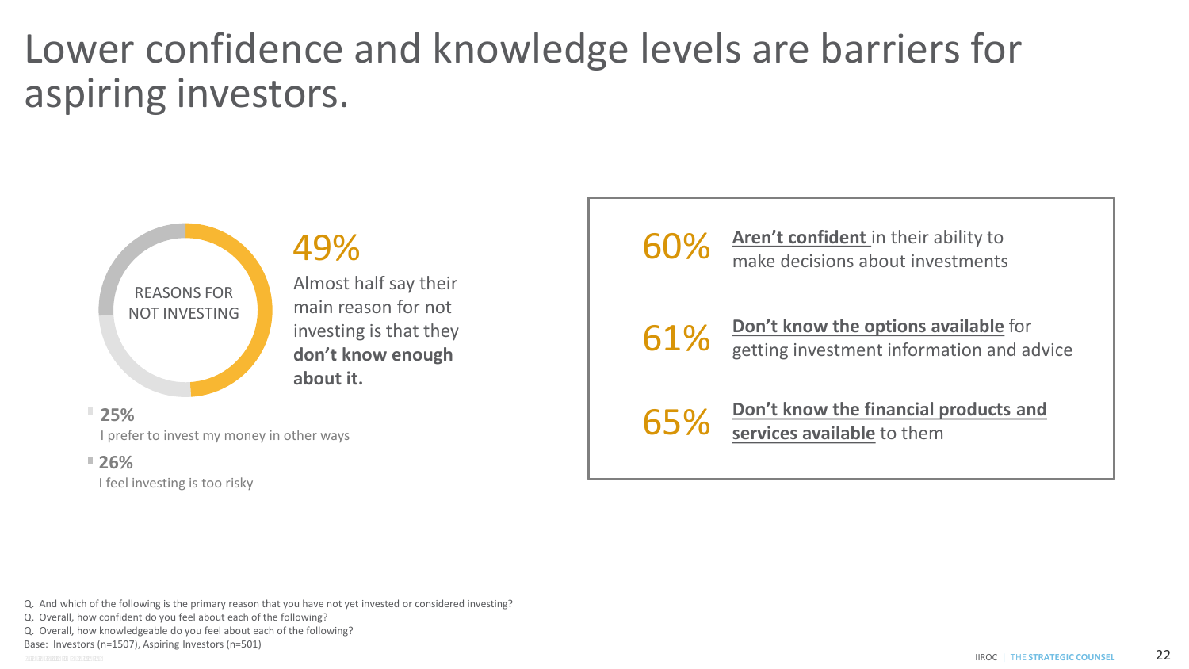### Lower confidence and knowledge levels are barriers for aspiring investors.



I prefer to invest my money in other ways

#### **26%**

I feel investing is too risky

60% **Aren't confident** in their ability to make decisions about investments



61% **Don't know the options available** for getting investment information and advice

65% **Don't know the financial products and services available** to them

Q. And which of the following is the primary reason that you have not yet invested or considered investing?

Q. Overall, how confident do you feel about each of the following?

Q. Overall, how knowledgeable do you feel about each of the following?

Base: Investors (n=1507), Aspiring Investors (n=501)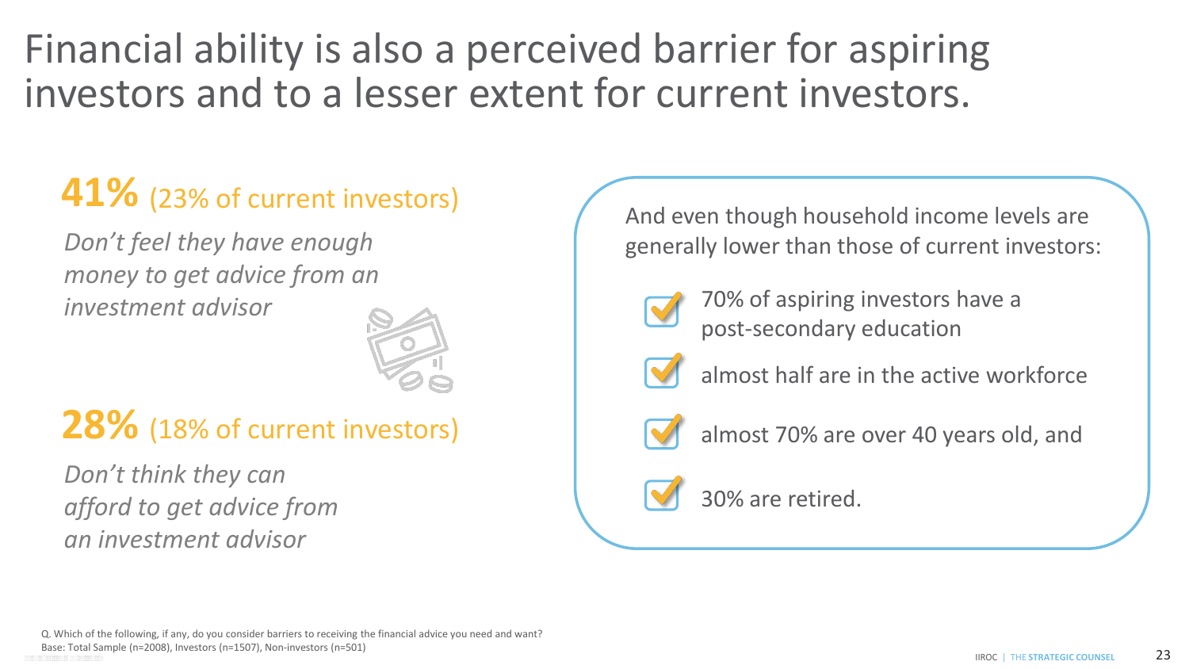Financial ability is also a perceived barrier for aspiring investors and to a lesser extent for current investors.

### **41%** (23% of current investors)

 *money to get advice from an Don't feel they have enough investment advisor* 



#### **28%** (18% of current investors)

 *afford to get advice from Don't think they can an investment advisor* 

And even though household income levels are generally lower than those of current investors:



70% of aspiring investors have a post-secondary education



almost half are in the active workforce



almost 70% are over 40 years old, and

#### 30% are retired.

 Q. Which of the following, if any, do you consider barriers to receiving the financial advice you need and want? C O N F I D E N T I A L IIROC | THE **STRATEGIC COUNSEL**  Base: Total Sample (n=2008), Investors (n=1507), Non-investors (n=501) 23<br>CONFIDENTIAL PROC | THE STRATEGIC COUNSEL 23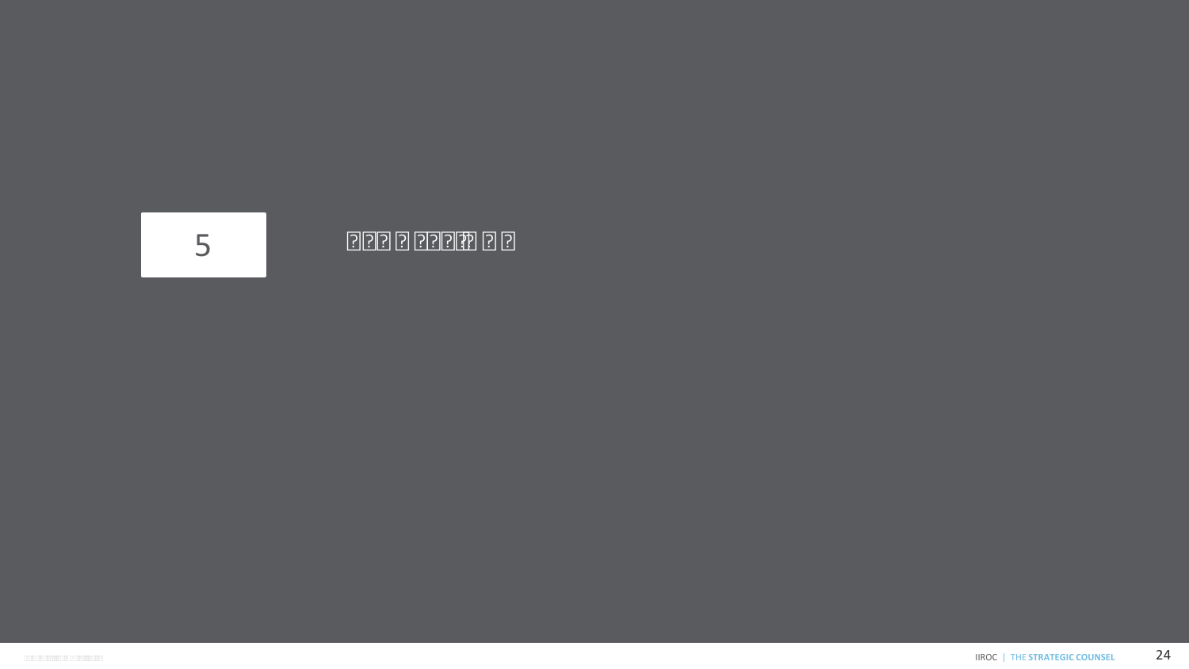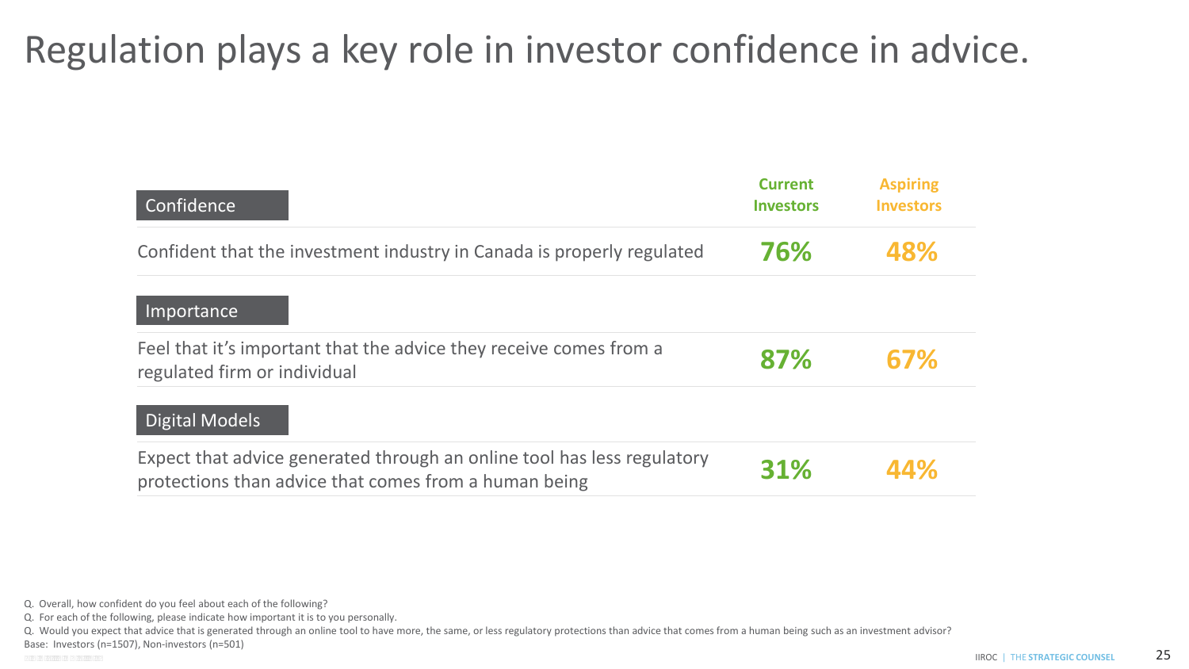### Regulation plays a key role in investor confidence in advice.

| Confidence                                                                                                                       | <b>Current</b><br><b>Investors</b> | <b>Aspiring</b><br><b>Investors</b> |
|----------------------------------------------------------------------------------------------------------------------------------|------------------------------------|-------------------------------------|
| Confident that the investment industry in Canada is properly regulated                                                           | 76%                                | 48%                                 |
| Importance                                                                                                                       |                                    |                                     |
| Feel that it's important that the advice they receive comes from a<br>regulated firm or individual                               | 87%                                | 67%                                 |
| Digital Models                                                                                                                   |                                    |                                     |
| Expect that advice generated through an online tool has less regulatory<br>protections than advice that comes from a human being | 31%                                | 44%                                 |

- Q. Would you expect that advice that is generated through an online tool to have more, the same, or less regulatory protections than advice that comes from a human being such as an investment advisor?
- Base: Investors (n=1507), Non-investors (n=501)

 Q. Overall, how confident do you feel about each of the following?

 Q. For each of the following, please indicate how important it is to you personally.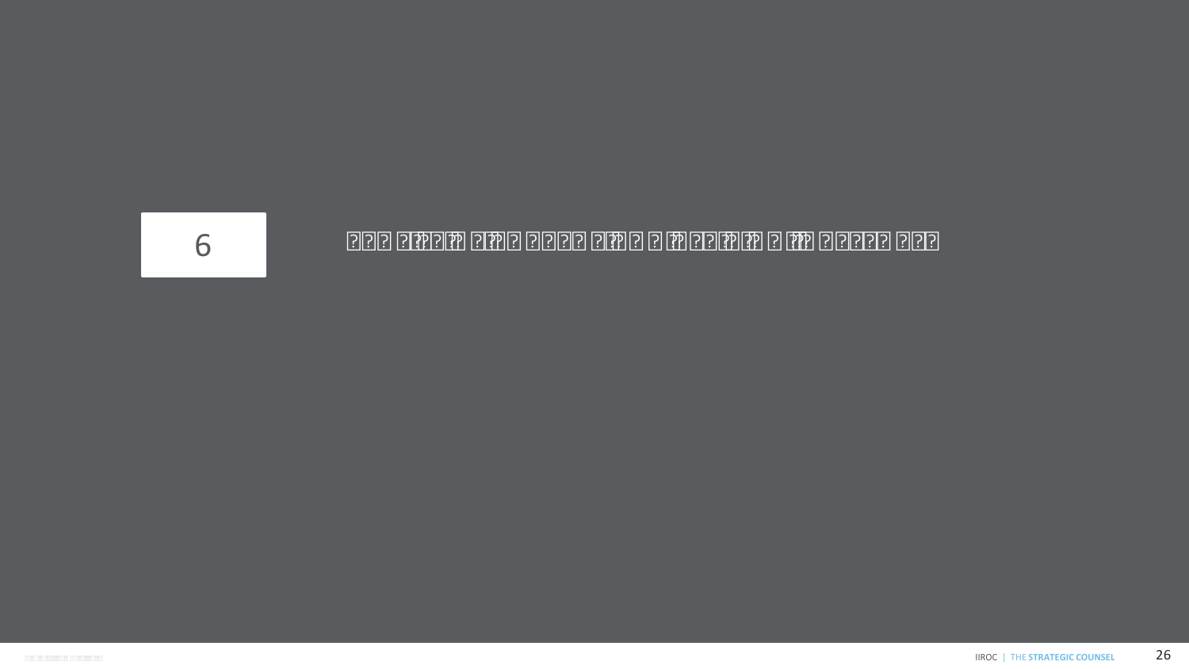

#### 6 PROFILE OF CURRENT AND ASPIRING INVESTORS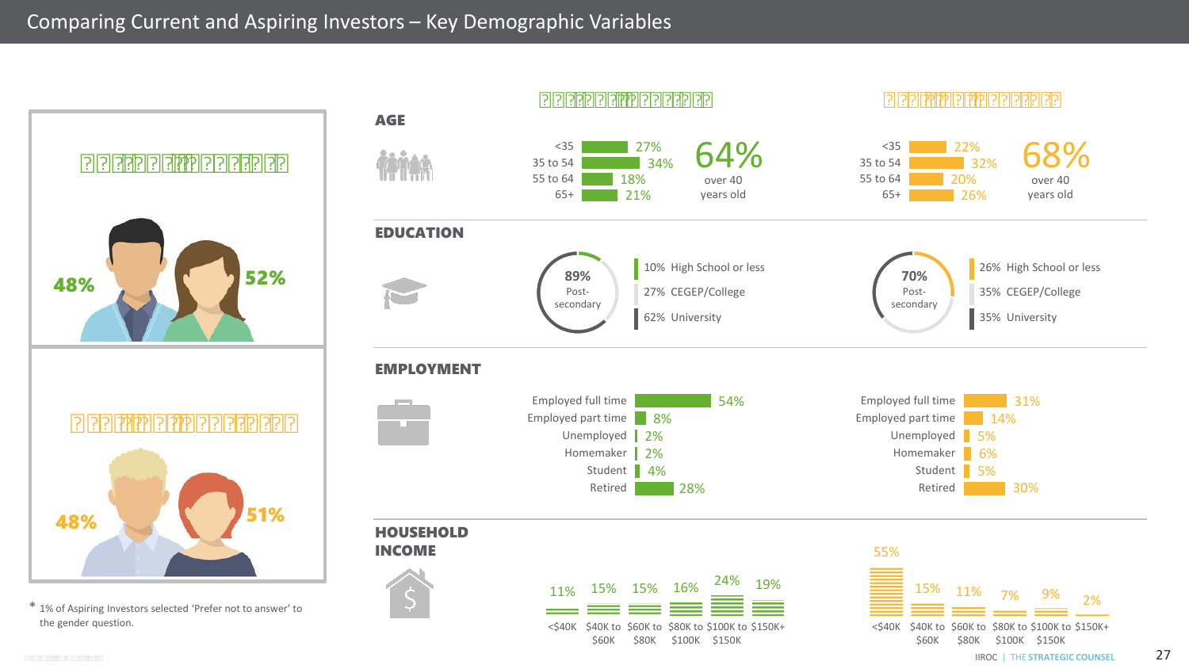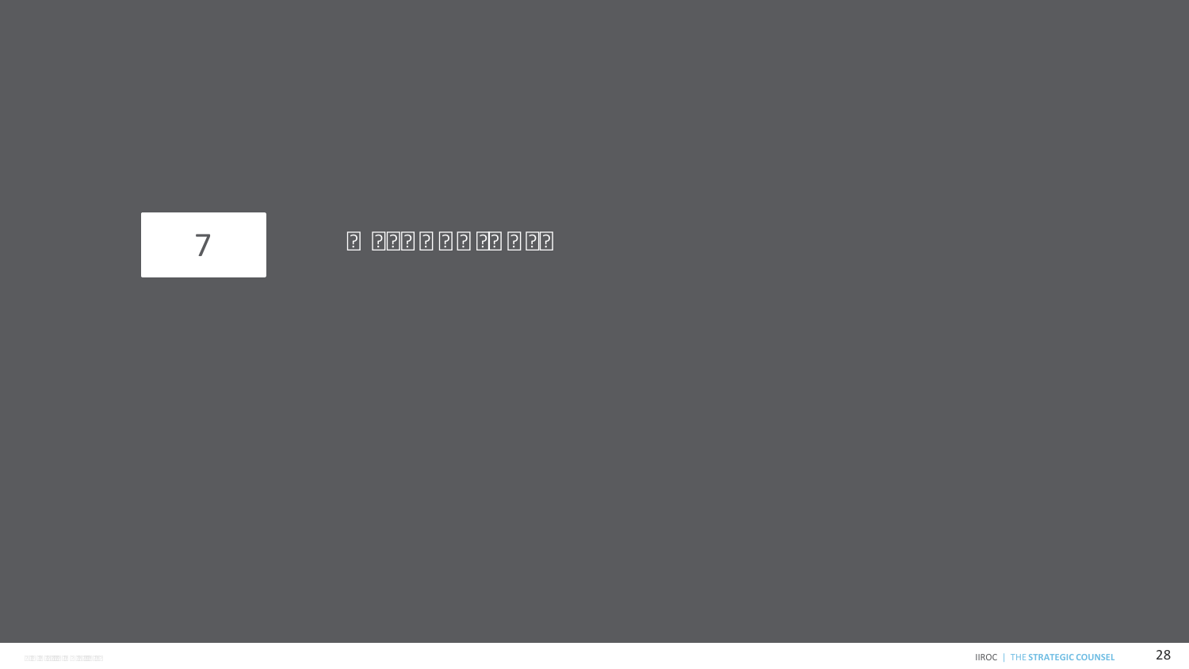